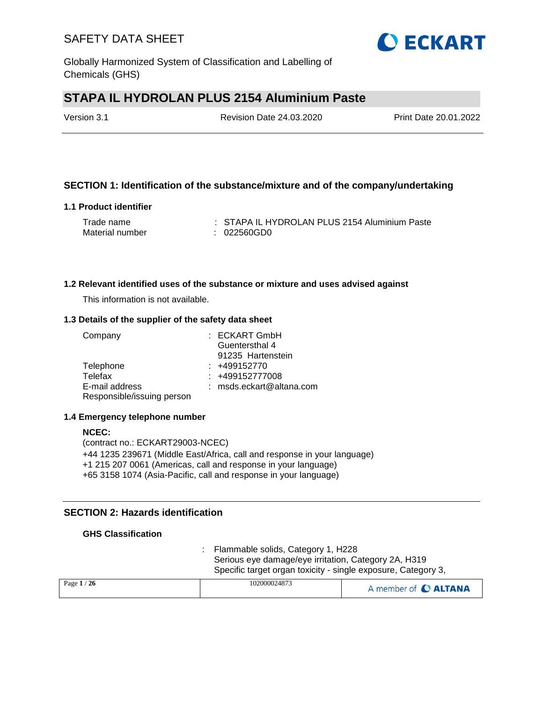Globally Harmonized System of Classification and Labelling of Chemicals (GHS)

# **STAPA IL HYDROLAN PLUS 2154 Aluminium Paste**

Version 3.1 Revision Date 24.03.2020 Print Date 20.01.2022

## **SECTION 1: Identification of the substance/mixture and of the company/undertaking**

### **1.1 Product identifier**

| Trade name      | : STAPA IL HYDROLAN PLUS 2154 Aluminium Paste |
|-----------------|-----------------------------------------------|
| Material number | : 022560GD0                                   |

### **1.2 Relevant identified uses of the substance or mixture and uses advised against**

This information is not available.

### **1.3 Details of the supplier of the safety data sheet**

| Company                    | $:$ ECKART GmbH            |
|----------------------------|----------------------------|
|                            | Guentersthal 4             |
|                            | 91235 Hartenstein          |
| Telephone                  | $: +499152770$             |
| Telefax                    | : +499152777008            |
| E-mail address             | $:$ msds.eckart@altana.com |
| Responsible/issuing person |                            |

## **1.4 Emergency telephone number**

### **NCEC:** (contract no.: ECKART29003-NCEC) +44 1235 239671 (Middle East/Africa, call and response in your language) +1 215 207 0061 (Americas, call and response in your language) +65 3158 1074 (Asia-Pacific, call and response in your language)

## **SECTION 2: Hazards identification**

## **GHS Classification**

: Flammable solids, Category 1, H228 Serious eye damage/eye irritation, Category 2A, H319 Specific target organ toxicity - single exposure, Category 3,

| Page $1/26$ | 102000024873 | A member of C ALTANA |
|-------------|--------------|----------------------|
|             |              |                      |

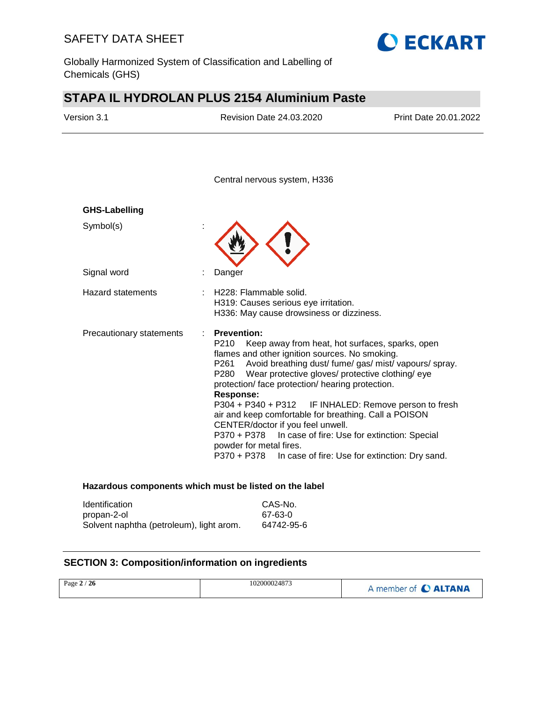Globally Harmonized System of Classification and Labelling of Chemicals (GHS)

# **STAPA IL HYDROLAN PLUS 2154 Aluminium Paste**

| Version 3.1              | <b>Revision Date 24.03.2020</b>                                                                                                                                                                                                                                                                                                                                                                                                                                                                                                                                                                                                                      | Print Date 20.01.2022 |
|--------------------------|------------------------------------------------------------------------------------------------------------------------------------------------------------------------------------------------------------------------------------------------------------------------------------------------------------------------------------------------------------------------------------------------------------------------------------------------------------------------------------------------------------------------------------------------------------------------------------------------------------------------------------------------------|-----------------------|
|                          | Central nervous system, H336                                                                                                                                                                                                                                                                                                                                                                                                                                                                                                                                                                                                                         |                       |
| <b>GHS-Labelling</b>     |                                                                                                                                                                                                                                                                                                                                                                                                                                                                                                                                                                                                                                                      |                       |
| Symbol(s)                |                                                                                                                                                                                                                                                                                                                                                                                                                                                                                                                                                                                                                                                      |                       |
| Signal word              | Danger                                                                                                                                                                                                                                                                                                                                                                                                                                                                                                                                                                                                                                               |                       |
| <b>Hazard statements</b> | H228: Flammable solid.<br>H319: Causes serious eye irritation.<br>H336: May cause drowsiness or dizziness.                                                                                                                                                                                                                                                                                                                                                                                                                                                                                                                                           |                       |
| Precautionary statements | <b>Prevention:</b><br>P210<br>Keep away from heat, hot surfaces, sparks, open<br>flames and other ignition sources. No smoking.<br>Avoid breathing dust/ fume/ gas/ mist/ vapours/ spray.<br>P261<br>Wear protective gloves/ protective clothing/ eye<br>P280<br>protection/ face protection/ hearing protection.<br><b>Response:</b><br>P304 + P340 + P312 IF INHALED: Remove person to fresh<br>air and keep comfortable for breathing. Call a POISON<br>CENTER/doctor if you feel unwell.<br>P370 + P378    In case of fire: Use for extinction: Special<br>powder for metal fires.<br>P370 + P378 In case of fire: Use for extinction: Dry sand. |                       |

**O ECKART** 

#### **Hazardous components which must be listed on the label**

| <b>Identification</b>                    | CAS-No.    |
|------------------------------------------|------------|
| propan-2-ol                              | 67-63-0    |
| Solvent naphtha (petroleum), light arom. | 64742-95-6 |

## **SECTION 3: Composition/information on ingredients**

| Page $2/26$ | 102000024873 | A member of C ALTANA |
|-------------|--------------|----------------------|
|-------------|--------------|----------------------|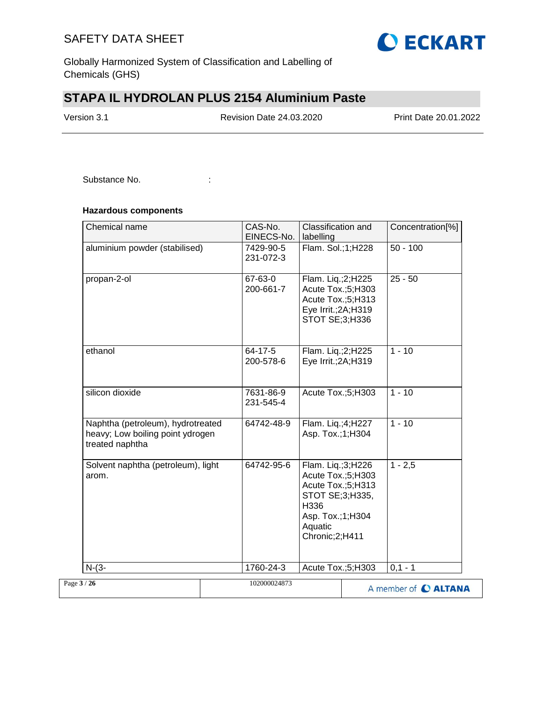

Globally Harmonized System of Classification and Labelling of Chemicals (GHS)

# **STAPA IL HYDROLAN PLUS 2154 Aluminium Paste**

Version 3.1 Revision Date 24.03.2020 Print Date 20.01.2022

Substance No. **:**  $\qquad \qquad$  :

## **Hazardous components**

| Chemical name                                                                            | CAS-No.<br>EINECS-No.  | Classification and<br>labelling                                                                                                           | Concentration[%]     |
|------------------------------------------------------------------------------------------|------------------------|-------------------------------------------------------------------------------------------------------------------------------------------|----------------------|
| aluminium powder (stabilised)                                                            | 7429-90-5<br>231-072-3 | Flam. Sol.;1;H228                                                                                                                         | $50 - 100$           |
| propan-2-ol                                                                              | 67-63-0<br>200-661-7   | Flam. Liq.;2;H225<br>Acute Tox.;5;H303<br>Acute Tox.;5;H313<br>Eye Irrit.; 2A; H319<br>STOT SE;3;H336                                     | $25 - 50$            |
| ethanol                                                                                  | 64-17-5<br>200-578-6   | Flam. Liq.;2;H225<br>Eye Irrit.; 2A; H319                                                                                                 | $1 - 10$             |
| silicon dioxide                                                                          | 7631-86-9<br>231-545-4 | Acute Tox.;5;H303                                                                                                                         | $1 - 10$             |
| Naphtha (petroleum), hydrotreated<br>heavy; Low boiling point ydrogen<br>treated naphtha | 64742-48-9             | Flam. Liq.;4;H227<br>Asp. Tox.;1;H304                                                                                                     | $1 - 10$             |
| Solvent naphtha (petroleum), light<br>arom.                                              | 64742-95-6             | Flam. Liq.;3;H226<br>Acute Tox.;5;H303<br>Acute Tox.;5;H313<br>STOT SE;3;H335,<br>H336<br>Asp. Tox.; 1; H304<br>Aquatic<br>Chronic;2;H411 | $1 - 2,5$            |
| $N-(3-$                                                                                  | 1760-24-3              | Acute Tox.;5;H303                                                                                                                         | $0,1 - 1$            |
| Page 3 / 26                                                                              | 102000024873           |                                                                                                                                           | A member of C ALTANA |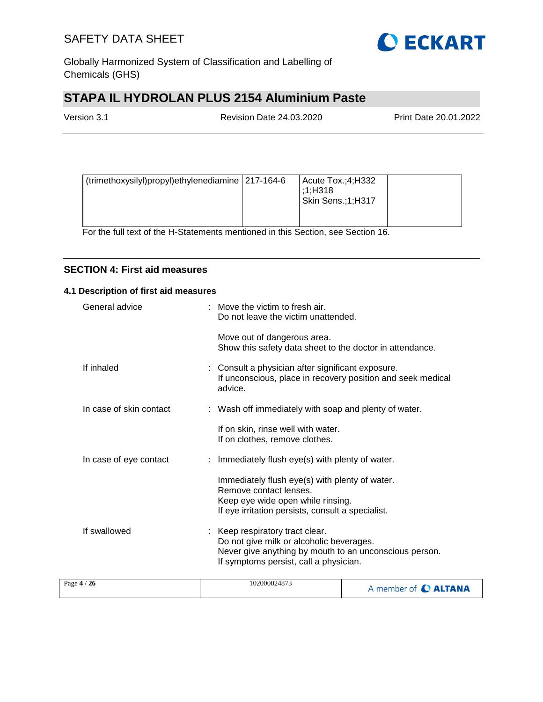

Globally Harmonized System of Classification and Labelling of Chemicals (GHS)

# **STAPA IL HYDROLAN PLUS 2154 Aluminium Paste**

| Version 3.1 | <b>Revision Date 24.03.2020</b> | Print Date 20.01.2022 |
|-------------|---------------------------------|-----------------------|
|             |                                 |                       |

| (trimethoxysilyl)propyl)ethylenediamine 217-164-6<br>Acute $Tox$ : 4; H332<br>:1:H318<br>Skin Sens.;1;H317 |  |  |  |  |
|------------------------------------------------------------------------------------------------------------|--|--|--|--|
|------------------------------------------------------------------------------------------------------------|--|--|--|--|

For the full text of the H-Statements mentioned in this Section, see Section 16.

## **SECTION 4: First aid measures**

### **4.1 Description of first aid measures**

| .1/26                   | 102000024873                                                                                                                                                                    |
|-------------------------|---------------------------------------------------------------------------------------------------------------------------------------------------------------------------------|
| If swallowed            | : Keep respiratory tract clear.<br>Do not give milk or alcoholic beverages.<br>Never give anything by mouth to an unconscious person.<br>If symptoms persist, call a physician. |
|                         | Immediately flush eye(s) with plenty of water.<br>Remove contact lenses.<br>Keep eye wide open while rinsing.<br>If eye irritation persists, consult a specialist.              |
| In case of eye contact  | : Immediately flush eye(s) with plenty of water.                                                                                                                                |
|                         | If on skin, rinse well with water.<br>If on clothes, remove clothes.                                                                                                            |
| In case of skin contact | : Wash off immediately with soap and plenty of water.                                                                                                                           |
| If inhaled              | : Consult a physician after significant exposure.<br>If unconscious, place in recovery position and seek medical<br>advice.                                                     |
|                         | Move out of dangerous area.<br>Show this safety data sheet to the doctor in attendance.                                                                                         |
| General advice          | : Move the victim to fresh air.<br>Do not leave the victim unattended.                                                                                                          |

| 102000024873<br>Page $4/26$ | A member of C ALTANA |
|-----------------------------|----------------------|
|-----------------------------|----------------------|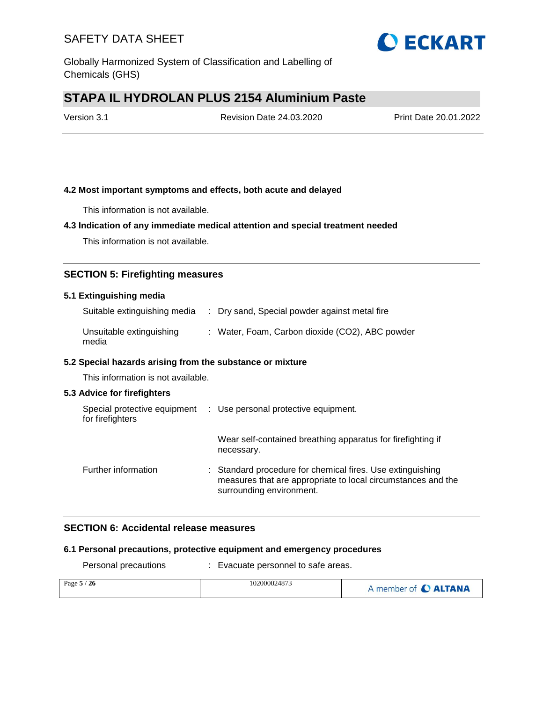

Globally Harmonized System of Classification and Labelling of Chemicals (GHS)

# **STAPA IL HYDROLAN PLUS 2154 Aluminium Paste**

Version 3.1 Revision Date 24.03.2020 Print Date 20.01.2022

## **4.2 Most important symptoms and effects, both acute and delayed**

This information is not available.

## **4.3 Indication of any immediate medical attention and special treatment needed**

This information is not available.

## **SECTION 5: Firefighting measures**

#### **5.1 Extinguishing media**

| Suitable extinguishing media | : Dry sand, Special powder against metal fire |  |
|------------------------------|-----------------------------------------------|--|
|                              |                                               |  |

| Unsuitable extinguishing | : Water, Foam, Carbon dioxide (CO2), ABC powder |
|--------------------------|-------------------------------------------------|
| media                    |                                                 |

#### **5.2 Special hazards arising from the substance or mixture**

This information is not available.

#### **5.3 Advice for firefighters**

| Special protective equipment<br>for firefighters |  | : Use personal protective equipment.                                                                                                                   |
|--------------------------------------------------|--|--------------------------------------------------------------------------------------------------------------------------------------------------------|
|                                                  |  | Wear self-contained breathing apparatus for firefighting if<br>necessary.                                                                              |
| Further information                              |  | : Standard procedure for chemical fires. Use extinguishing<br>measures that are appropriate to local circumstances and the<br>surrounding environment. |

## **SECTION 6: Accidental release measures**

#### **6.1 Personal precautions, protective equipment and emergency procedures**

| Personal precautions | Evacuate personnel to safe areas. |                      |  |
|----------------------|-----------------------------------|----------------------|--|
| Page $5/26$          | 102000024873                      | A member of C ALTANA |  |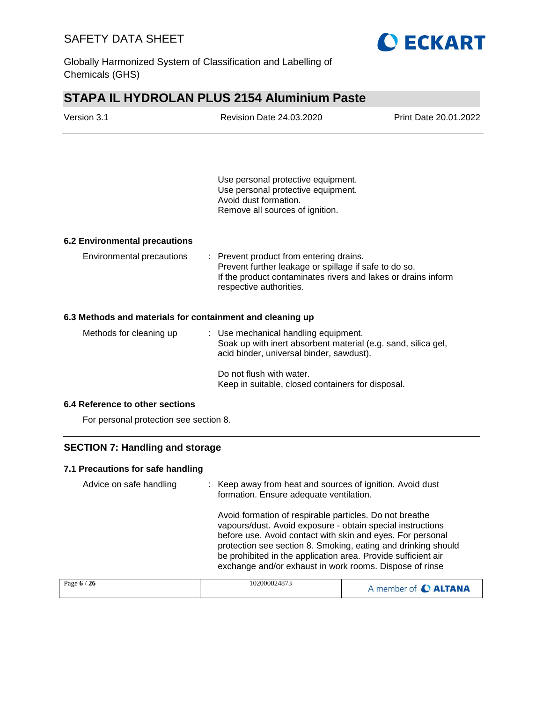

Globally Harmonized System of Classification and Labelling of Chemicals (GHS)

# **STAPA IL HYDROLAN PLUS 2154 Aluminium Paste**

| Version 3.1                                               | <b>Revision Date 24.03.2020</b>                                                                                                                                                                                                                                                                                                                                                  | Print Date 20.01.2022 |  |
|-----------------------------------------------------------|----------------------------------------------------------------------------------------------------------------------------------------------------------------------------------------------------------------------------------------------------------------------------------------------------------------------------------------------------------------------------------|-----------------------|--|
|                                                           |                                                                                                                                                                                                                                                                                                                                                                                  |                       |  |
|                                                           | Use personal protective equipment.<br>Use personal protective equipment.<br>Avoid dust formation.<br>Remove all sources of ignition.                                                                                                                                                                                                                                             |                       |  |
| <b>6.2 Environmental precautions</b>                      |                                                                                                                                                                                                                                                                                                                                                                                  |                       |  |
| Environmental precautions                                 | : Prevent product from entering drains.<br>Prevent further leakage or spillage if safe to do so.<br>If the product contaminates rivers and lakes or drains inform<br>respective authorities.                                                                                                                                                                                     |                       |  |
| 6.3 Methods and materials for containment and cleaning up |                                                                                                                                                                                                                                                                                                                                                                                  |                       |  |
| Methods for cleaning up                                   | : Use mechanical handling equipment.<br>Soak up with inert absorbent material (e.g. sand, silica gel,<br>acid binder, universal binder, sawdust).                                                                                                                                                                                                                                |                       |  |
|                                                           | Do not flush with water.<br>Keep in suitable, closed containers for disposal.                                                                                                                                                                                                                                                                                                    |                       |  |
| 6.4 Reference to other sections                           |                                                                                                                                                                                                                                                                                                                                                                                  |                       |  |
| For personal protection see section 8.                    |                                                                                                                                                                                                                                                                                                                                                                                  |                       |  |
| <b>SECTION 7: Handling and storage</b>                    |                                                                                                                                                                                                                                                                                                                                                                                  |                       |  |
| 7.1 Precautions for safe handling                         |                                                                                                                                                                                                                                                                                                                                                                                  |                       |  |
| Advice on safe handling                                   | Keep away from heat and sources of ignition. Avoid dust<br>formation. Ensure adequate ventilation.                                                                                                                                                                                                                                                                               |                       |  |
|                                                           | Avoid formation of respirable particles. Do not breathe<br>vapours/dust. Avoid exposure - obtain special instructions<br>before use. Avoid contact with skin and eyes. For personal<br>protection see section 8. Smoking, eating and drinking should<br>be prohibited in the application area. Provide sufficient air<br>exchange and/or exhaust in work rooms. Dispose of rinse |                       |  |
| Page 6 / 26                                               | 102000024873                                                                                                                                                                                                                                                                                                                                                                     | A member of C ALTANA  |  |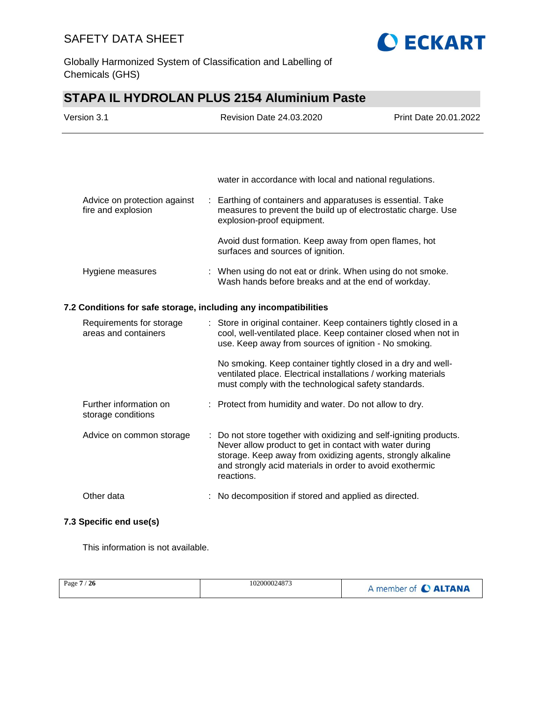

Globally Harmonized System of Classification and Labelling of Chemicals (GHS)

# **STAPA IL HYDROLAN PLUS 2154 Aluminium Paste**

| Version 3.1                                                      | Revision Date 24.03.2020                                                                                                                                                                                                                                               | Print Date 20.01.2022 |
|------------------------------------------------------------------|------------------------------------------------------------------------------------------------------------------------------------------------------------------------------------------------------------------------------------------------------------------------|-----------------------|
|                                                                  |                                                                                                                                                                                                                                                                        |                       |
|                                                                  | water in accordance with local and national regulations.                                                                                                                                                                                                               |                       |
| Advice on protection against<br>fire and explosion               | : Earthing of containers and apparatuses is essential. Take<br>measures to prevent the build up of electrostatic charge. Use<br>explosion-proof equipment.                                                                                                             |                       |
|                                                                  | Avoid dust formation. Keep away from open flames, hot<br>surfaces and sources of ignition.                                                                                                                                                                             |                       |
| Hygiene measures                                                 | : When using do not eat or drink. When using do not smoke.<br>Wash hands before breaks and at the end of workday.                                                                                                                                                      |                       |
| 7.2 Conditions for safe storage, including any incompatibilities |                                                                                                                                                                                                                                                                        |                       |
| Requirements for storage<br>areas and containers                 | : Store in original container. Keep containers tightly closed in a<br>cool, well-ventilated place. Keep container closed when not in<br>use. Keep away from sources of ignition - No smoking.                                                                          |                       |
|                                                                  | No smoking. Keep container tightly closed in a dry and well-<br>ventilated place. Electrical installations / working materials<br>must comply with the technological safety standards.                                                                                 |                       |
| Further information on<br>storage conditions                     | : Protect from humidity and water. Do not allow to dry.                                                                                                                                                                                                                |                       |
| Advice on common storage                                         | : Do not store together with oxidizing and self-igniting products.<br>Never allow product to get in contact with water during<br>storage. Keep away from oxidizing agents, strongly alkaline<br>and strongly acid materials in order to avoid exothermic<br>reactions. |                       |
| Other data                                                       | : No decomposition if stored and applied as directed.                                                                                                                                                                                                                  |                       |

## **7.3 Specific end use(s)**

This information is not available.

| Page 7 / 26 | 102000024873 | A member of C ALTANA |
|-------------|--------------|----------------------|
|             |              |                      |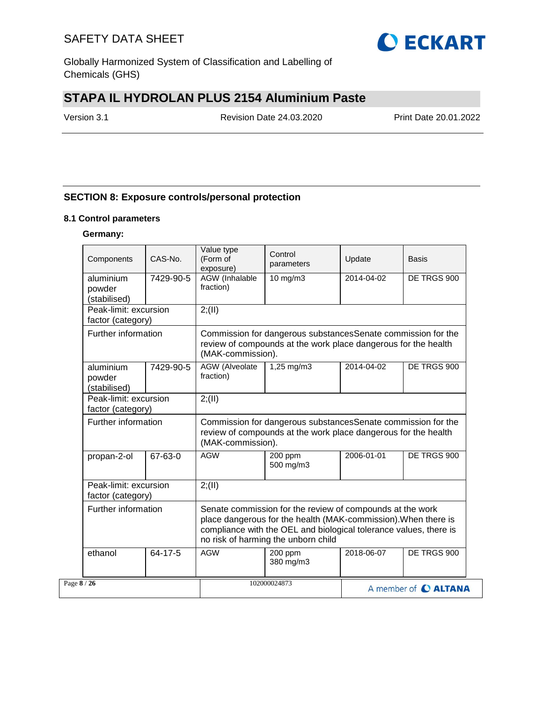

Globally Harmonized System of Classification and Labelling of Chemicals (GHS)

# **STAPA IL HYDROLAN PLUS 2154 Aluminium Paste**

Version 3.1 Revision Date 24.03.2020 Print Date 20.01.2022

## **SECTION 8: Exposure controls/personal protection**

### **8.1 Control parameters**

### **Germany:**

| Components                                 | CAS-No.   | Value type<br>(Form of<br>exposure)                                                                                                                  | Control<br>parameters                                                                                                                                                                                                                   | Update     | Basis                |  |
|--------------------------------------------|-----------|------------------------------------------------------------------------------------------------------------------------------------------------------|-----------------------------------------------------------------------------------------------------------------------------------------------------------------------------------------------------------------------------------------|------------|----------------------|--|
| aluminium<br>powder<br>(stabilised)        | 7429-90-5 | <b>AGW</b> (Inhalable<br>fraction)                                                                                                                   | $10$ mg/m $3$                                                                                                                                                                                                                           | 2014-04-02 | DE TRGS 900          |  |
| Peak-limit: excursion<br>factor (category) |           | 2; (II)                                                                                                                                              |                                                                                                                                                                                                                                         |            |                      |  |
| Further information                        |           | (MAK-commission).                                                                                                                                    | Commission for dangerous substancesSenate commission for the<br>review of compounds at the work place dangerous for the health                                                                                                          |            |                      |  |
| aluminium<br>powder<br>(stabilised)        | 7429-90-5 | <b>AGW</b> (Alveolate<br>fraction)                                                                                                                   | 1,25 mg/m3                                                                                                                                                                                                                              | 2014-04-02 | DE TRGS 900          |  |
| Peak-limit: excursion<br>factor (category) |           | 2; (II)                                                                                                                                              |                                                                                                                                                                                                                                         |            |                      |  |
| Further information                        |           | Commission for dangerous substances Senate commission for the<br>review of compounds at the work place dangerous for the health<br>(MAK-commission). |                                                                                                                                                                                                                                         |            |                      |  |
| propan-2-ol                                | 67-63-0   | <b>AGW</b>                                                                                                                                           | 200 ppm<br>500 mg/m3                                                                                                                                                                                                                    | 2006-01-01 | DE TRGS 900          |  |
| Peak-limit: excursion<br>factor (category) |           | 2; (II)                                                                                                                                              |                                                                                                                                                                                                                                         |            |                      |  |
| Further information                        |           |                                                                                                                                                      | Senate commission for the review of compounds at the work<br>place dangerous for the health (MAK-commission). When there is<br>compliance with the OEL and biological tolerance values, there is<br>no risk of harming the unborn child |            |                      |  |
| ethanol                                    | 64-17-5   | <b>AGW</b>                                                                                                                                           | 200 ppm<br>380 mg/m3                                                                                                                                                                                                                    | 2018-06-07 | DE TRGS 900          |  |
| Page 8 / 26                                |           |                                                                                                                                                      | 102000024873                                                                                                                                                                                                                            |            | A member of C ALTANA |  |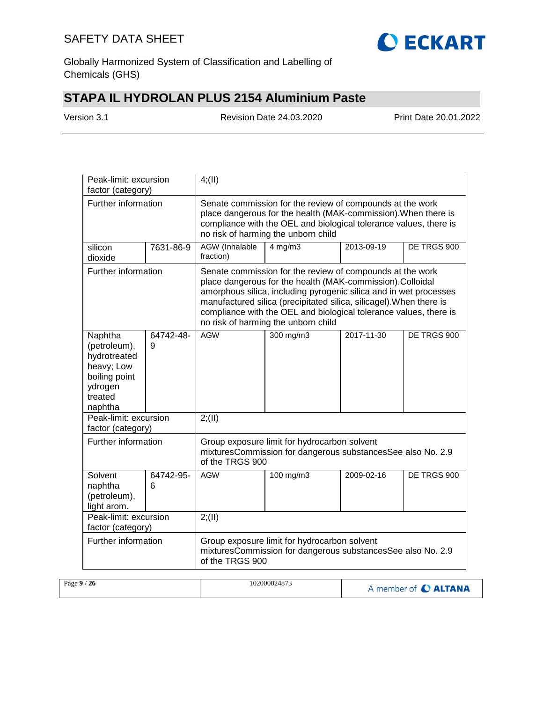

Globally Harmonized System of Classification and Labelling of Chemicals (GHS)

# **STAPA IL HYDROLAN PLUS 2154 Aluminium Paste**

Version 3.1 Revision Date 24.03.2020 Print Date 20.01.2022

| Peak-limit: excursion<br>factor (category)                                                              |                | 4; (II)                                                                                                                                                                                                                                                                                                                                                                        |              |            |             |  |
|---------------------------------------------------------------------------------------------------------|----------------|--------------------------------------------------------------------------------------------------------------------------------------------------------------------------------------------------------------------------------------------------------------------------------------------------------------------------------------------------------------------------------|--------------|------------|-------------|--|
| Further information                                                                                     |                | Senate commission for the review of compounds at the work<br>place dangerous for the health (MAK-commission). When there is<br>compliance with the OEL and biological tolerance values, there is<br>no risk of harming the unborn child                                                                                                                                        |              |            |             |  |
| silicon<br>dioxide                                                                                      | 7631-86-9      | AGW (Inhalable<br>fraction)                                                                                                                                                                                                                                                                                                                                                    | $4$ mg/m $3$ | 2013-09-19 | DE TRGS 900 |  |
| Further information                                                                                     |                | Senate commission for the review of compounds at the work<br>place dangerous for the health (MAK-commission).Colloidal<br>amorphous silica, including pyrogenic silica and in wet processes<br>manufactured silica (precipitated silica, silicagel). When there is<br>compliance with the OEL and biological tolerance values, there is<br>no risk of harming the unborn child |              |            |             |  |
| Naphtha<br>(petroleum),<br>hydrotreated<br>heavy; Low<br>boiling point<br>ydrogen<br>treated<br>naphtha | 64742-48-<br>9 | <b>AGW</b>                                                                                                                                                                                                                                                                                                                                                                     | 300 mg/m3    | 2017-11-30 | DE TRGS 900 |  |
| Peak-limit: excursion<br>factor (category)                                                              |                | 2; (II)                                                                                                                                                                                                                                                                                                                                                                        |              |            |             |  |
| Further information                                                                                     |                | Group exposure limit for hydrocarbon solvent<br>mixturesCommission for dangerous substancesSee also No. 2.9<br>of the TRGS 900                                                                                                                                                                                                                                                 |              |            |             |  |
| Solvent<br>naphtha<br>(petroleum),<br>light arom.                                                       | 64742-95-<br>6 | <b>AGW</b>                                                                                                                                                                                                                                                                                                                                                                     | 100 mg/m3    | 2009-02-16 | DE TRGS 900 |  |
| Peak-limit: excursion<br>factor (category)                                                              |                | 2; (II)                                                                                                                                                                                                                                                                                                                                                                        |              |            |             |  |
| Further information                                                                                     |                | Group exposure limit for hydrocarbon solvent<br>mixturesCommission for dangerous substancesSee also No. 2.9<br>of the TRGS 900                                                                                                                                                                                                                                                 |              |            |             |  |

| Page $9/$<br>/26 | 102000024873 | A member of C ALTANA |
|------------------|--------------|----------------------|
|------------------|--------------|----------------------|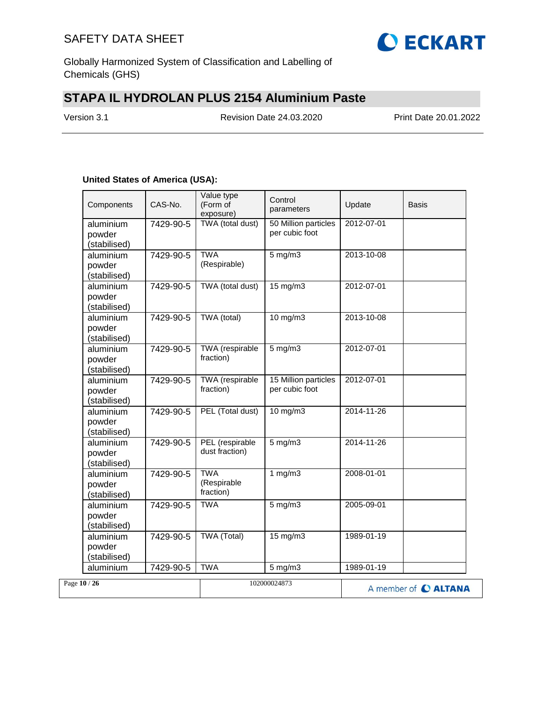

Globally Harmonized System of Classification and Labelling of Chemicals (GHS)

# **STAPA IL HYDROLAN PLUS 2154 Aluminium Paste**

Version 3.1 Revision Date 24.03.2020 Print Date 20.01.2022

## **United States of America (USA):**

|              | Components                          | CAS-No.   | Value type<br>(Form of<br>exposure)    | Control<br>parameters                   | Update     | Basis                |
|--------------|-------------------------------------|-----------|----------------------------------------|-----------------------------------------|------------|----------------------|
|              | aluminium<br>powder<br>(stabilised) | 7429-90-5 | TWA (total dust)                       | 50 Million particles<br>per cubic foot  | 2012-07-01 |                      |
|              | aluminium<br>powder<br>(stabilised) | 7429-90-5 | <b>TWA</b><br>(Respirable)             | $5$ mg/m $3$                            | 2013-10-08 |                      |
|              | aluminium<br>powder<br>(stabilised) | 7429-90-5 | TWA (total dust)                       | 15 mg/m3                                | 2012-07-01 |                      |
|              | aluminium<br>powder<br>(stabilised) | 7429-90-5 | TWA (total)                            | $10$ mg/m $3$                           | 2013-10-08 |                      |
|              | aluminium<br>powder<br>(stabilised) | 7429-90-5 | <b>TWA</b> (respirable<br>fraction)    | $5$ mg/m $3$                            | 2012-07-01 |                      |
|              | aluminium<br>powder<br>(stabilised) | 7429-90-5 | TWA (respirable<br>fraction)           | 15 Million particles<br>per cubic foot  | 2012-07-01 |                      |
|              | aluminium<br>powder<br>(stabilised) | 7429-90-5 | PEL (Total dust)                       | $10$ mg/m $3$                           | 2014-11-26 |                      |
|              | aluminium<br>powder<br>(stabilised) | 7429-90-5 | PEL (respirable<br>dust fraction)      | $5 \overline{\mathrm{mg}} / \mathrm{m}$ | 2014-11-26 |                      |
|              | aluminium<br>powder<br>(stabilised) | 7429-90-5 | <b>TWA</b><br>(Respirable<br>fraction) | 1 $mg/m3$                               | 2008-01-01 |                      |
|              | aluminium<br>powder<br>(stabilised) | 7429-90-5 | <b>TWA</b>                             | $5$ mg/m $3$                            | 2005-09-01 |                      |
|              | aluminium<br>powder<br>(stabilised) | 7429-90-5 | <b>TWA (Total)</b>                     | $15 \text{ mg/m}$                       | 1989-01-19 |                      |
|              | aluminium                           | 7429-90-5 | <b>TWA</b>                             | $5$ mg/m $3$                            | 1989-01-19 |                      |
| Page 10 / 26 |                                     |           |                                        | 102000024873                            |            | A member of C ALTANA |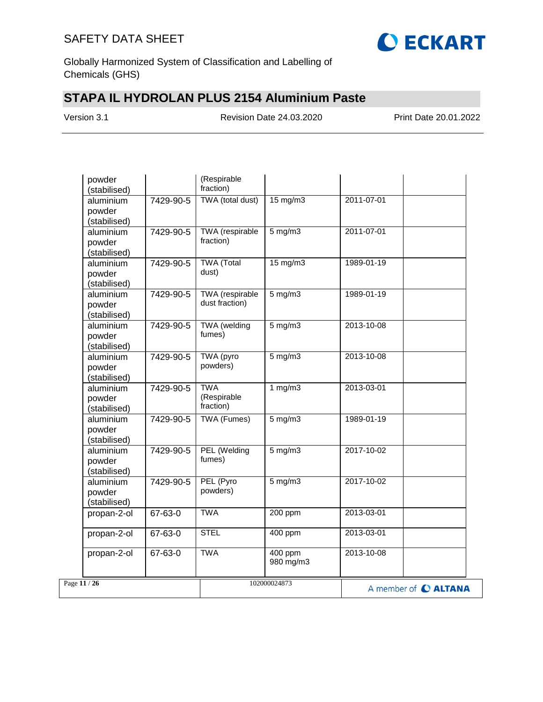

Globally Harmonized System of Classification and Labelling of Chemicals (GHS)

# **STAPA IL HYDROLAN PLUS 2154 Aluminium Paste**

Version 3.1 Revision Date 24.03.2020 Print Date 20.01.2022

| powder<br>(stabilised)              |           | (Respirable<br>fraction)                 |                      |                  |                      |
|-------------------------------------|-----------|------------------------------------------|----------------------|------------------|----------------------|
| aluminium<br>powder<br>(stabilised) | 7429-90-5 | TWA (total dust)                         | $15 \text{ mg/m}$    | 2011-07-01       |                      |
| aluminium<br>powder<br>(stabilised) | 7429-90-5 | <b>TWA</b> (respirable<br>fraction)      | $5$ mg/m $3$         | 2011-07-01       |                      |
| aluminium<br>powder<br>(stabilised) | 7429-90-5 | <b>TWA</b> (Total<br>dust)               | $15 \text{ mg/m}$    | 1989-01-19       |                      |
| aluminium<br>powder<br>(stabilised) | 7429-90-5 | <b>TWA</b> (respirable<br>dust fraction) | $5$ mg/m $3$         | 1989-01-19       |                      |
| aluminium<br>powder<br>(stabilised) | 7429-90-5 | TWA (welding<br>fumes)                   | $5$ mg/m $3$         | 2013-10-08       |                      |
| aluminium<br>powder<br>(stabilised) | 7429-90-5 | TWA (pyro<br>powders)                    | $5$ mg/m $3$         | 2013-10-08       |                      |
| aluminium<br>powder<br>(stabilised) | 7429-90-5 | <b>TWA</b><br>(Respirable<br>fraction)   | 1 $mg/m3$            | 2013-03-01       |                      |
| aluminium<br>powder<br>(stabilised) | 7429-90-5 | <b>TWA (Fumes)</b>                       | $5$ mg/m $3$         | 1989-01-19       |                      |
| aluminium<br>powder<br>(stabilised) | 7429-90-5 | PEL (Welding<br>fumes)                   | $5$ mg/m $3$         | $2017 - 10 - 02$ |                      |
| aluminium<br>powder<br>(stabilised) | 7429-90-5 | PEL (Pyro<br>powders)                    | $5$ mg/m $3$         | 2017-10-02       |                      |
| propan-2-ol                         | 67-63-0   | <b>TWA</b>                               | 200 ppm              | 2013-03-01       |                      |
| propan-2-ol                         | 67-63-0   | <b>STEL</b>                              | 400 ppm              | 2013-03-01       |                      |
| propan-2-ol                         | 67-63-0   | <b>TWA</b>                               | 400 ppm<br>980 mg/m3 | 2013-10-08       |                      |
| Page 11 / 26                        |           |                                          | 102000024873         |                  | A member of C ALTANA |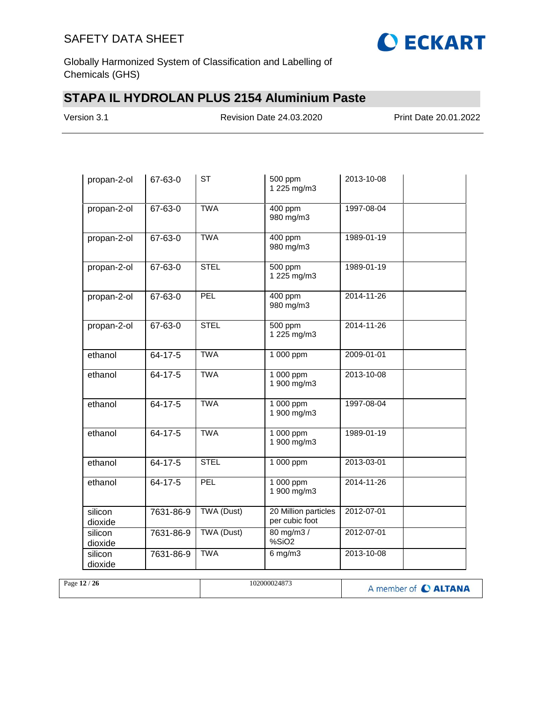

Globally Harmonized System of Classification and Labelling of Chemicals (GHS)

# **STAPA IL HYDROLAN PLUS 2154 Aluminium Paste**

Version 3.1 Revision Date 24.03.2020 Print Date 20.01.2022

| propan-2-ol        | 67-63-0       | <b>ST</b>   | 500 ppm<br>1 225 mg/m3                 | 2013-10-08 |
|--------------------|---------------|-------------|----------------------------------------|------------|
| propan-2-ol        | 67-63-0       | <b>TWA</b>  | 400 ppm<br>980 mg/m3                   | 1997-08-04 |
| propan-2-ol        | 67-63-0       | <b>TWA</b>  | 400 ppm<br>980 mg/m3                   | 1989-01-19 |
| propan-2-ol        | 67-63-0       | <b>STEL</b> | 500 ppm<br>1 225 mg/m3                 | 1989-01-19 |
| propan-2-ol        | 67-63-0       | <b>PEL</b>  | 400 ppm<br>980 mg/m3                   | 2014-11-26 |
| propan-2-ol        | 67-63-0       | <b>STEL</b> | 500 ppm<br>1 225 mg/m3                 | 2014-11-26 |
| ethanol            | $64 - 17 - 5$ | <b>TWA</b>  | 1 000 ppm                              | 2009-01-01 |
| ethanol            | $64 - 17 - 5$ | <b>TWA</b>  | 1 000 ppm<br>1 900 mg/m3               | 2013-10-08 |
| ethanol            | 64-17-5       | <b>TWA</b>  | $1000$ ppm<br>1 900 mg/m3              | 1997-08-04 |
| ethanol            | $64 - 17 - 5$ | <b>TWA</b>  | 1 000 ppm<br>1 900 mg/m3               | 1989-01-19 |
| ethanol            | $64 - 17 - 5$ | <b>STEL</b> | 1 000 ppm                              | 2013-03-01 |
| ethanol            | 64-17-5       | PEL         | 1 000 ppm<br>1 900 mg/m3               | 2014-11-26 |
| silicon<br>dioxide | 7631-86-9     | TWA (Dust)  | 20 Million particles<br>per cubic foot | 2012-07-01 |
| silicon<br>dioxide | 7631-86-9     | TWA (Dust)  | 80 mg/m3 /<br>%SiO2                    | 2012-07-01 |
| silicon<br>dioxide | 7631-86-9     | <b>TWA</b>  | $6$ mg/m $3$                           | 2013-10-08 |

| Page 12 / 26 | 102000024873 | A member of C ALTANA |
|--------------|--------------|----------------------|
|              |              |                      |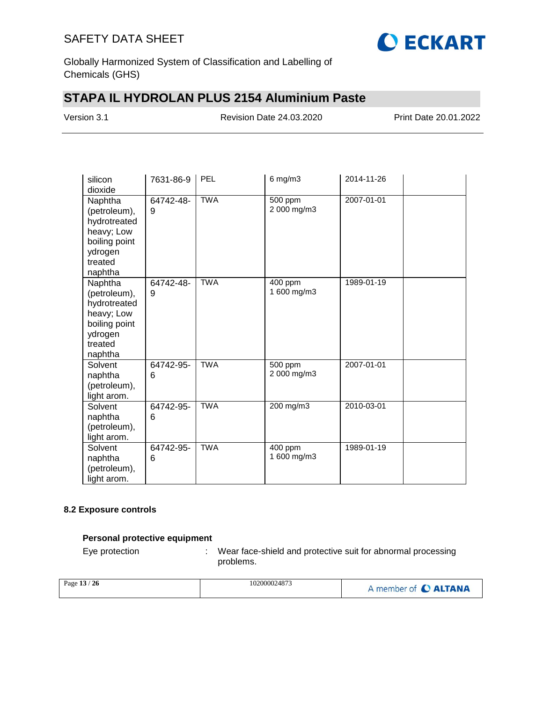

Globally Harmonized System of Classification and Labelling of Chemicals (GHS)

# **STAPA IL HYDROLAN PLUS 2154 Aluminium Paste**

Version 3.1 Revision Date 24.03.2020 Print Date 20.01.2022

| silicon<br>dioxide                                                                                      | 7631-86-9      | PEL        | $6$ mg/m $3$           | 2014-11-26 |  |
|---------------------------------------------------------------------------------------------------------|----------------|------------|------------------------|------------|--|
| Naphtha<br>(petroleum),<br>hydrotreated<br>heavy; Low<br>boiling point<br>ydrogen<br>treated<br>naphtha | 64742-48-<br>9 | <b>TWA</b> | 500 ppm<br>2 000 mg/m3 | 2007-01-01 |  |
| Naphtha<br>(petroleum),<br>hydrotreated<br>heavy; Low<br>boiling point<br>ydrogen<br>treated<br>naphtha | 64742-48-<br>9 | <b>TWA</b> | 400 ppm<br>1 600 mg/m3 | 1989-01-19 |  |
| Solvent<br>naphtha<br>(petroleum),<br>light arom.                                                       | 64742-95-<br>6 | <b>TWA</b> | 500 ppm<br>2 000 mg/m3 | 2007-01-01 |  |
| Solvent<br>naphtha<br>(petroleum),<br>light arom.                                                       | 64742-95-<br>6 | <b>TWA</b> | 200 mg/m3              | 2010-03-01 |  |
| Solvent<br>naphtha<br>(petroleum),<br>light arom.                                                       | 64742-95-<br>6 | <b>TWA</b> | 400 ppm<br>1 600 mg/m3 | 1989-01-19 |  |

## **8.2 Exposure controls**

### **Personal protective equipment**

Eye protection : Wear face-shield and protective suit for abnormal processing problems.

| Page 13 / 26 | 102000024873 | A member of C ALTANA |
|--------------|--------------|----------------------|
|--------------|--------------|----------------------|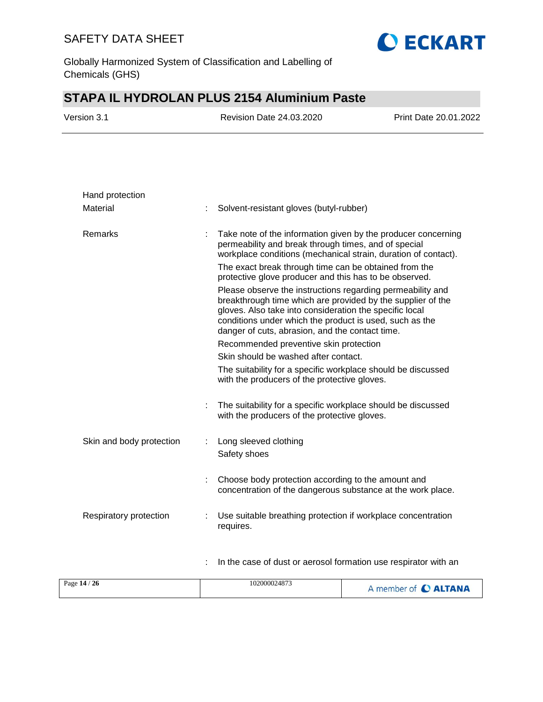

Globally Harmonized System of Classification and Labelling of Chemicals (GHS)

# **STAPA IL HYDROLAN PLUS 2154 Aluminium Paste**

| Version 3.1 | Revision Date 24.03.2020 | <b>Print Date 20.01.2022</b> |
|-------------|--------------------------|------------------------------|
|             |                          |                              |

| Hand protection          |   |                                                                                                                                                                                                                                                                                                                                                              |
|--------------------------|---|--------------------------------------------------------------------------------------------------------------------------------------------------------------------------------------------------------------------------------------------------------------------------------------------------------------------------------------------------------------|
| Material                 |   | Solvent-resistant gloves (butyl-rubber)                                                                                                                                                                                                                                                                                                                      |
| <b>Remarks</b>           |   | Take note of the information given by the producer concerning<br>permeability and break through times, and of special<br>workplace conditions (mechanical strain, duration of contact).<br>The exact break through time can be obtained from the                                                                                                             |
|                          |   | protective glove producer and this has to be observed.<br>Please observe the instructions regarding permeability and<br>breakthrough time which are provided by the supplier of the<br>gloves. Also take into consideration the specific local<br>conditions under which the product is used, such as the<br>danger of cuts, abrasion, and the contact time. |
|                          |   | Recommended preventive skin protection                                                                                                                                                                                                                                                                                                                       |
|                          |   | Skin should be washed after contact.                                                                                                                                                                                                                                                                                                                         |
|                          |   | The suitability for a specific workplace should be discussed<br>with the producers of the protective gloves.                                                                                                                                                                                                                                                 |
|                          |   | The suitability for a specific workplace should be discussed<br>with the producers of the protective gloves.                                                                                                                                                                                                                                                 |
| Skin and body protection |   | Long sleeved clothing<br>Safety shoes                                                                                                                                                                                                                                                                                                                        |
|                          | t | Choose body protection according to the amount and<br>concentration of the dangerous substance at the work place.                                                                                                                                                                                                                                            |
| Respiratory protection   |   | Use suitable breathing protection if workplace concentration<br>requires.                                                                                                                                                                                                                                                                                    |
|                          | ÷ | In the case of dust or aerosol formation use respirator with an                                                                                                                                                                                                                                                                                              |

| 102000024873<br>Page 14 / 26 | A member of C ALTANA |
|------------------------------|----------------------|
|------------------------------|----------------------|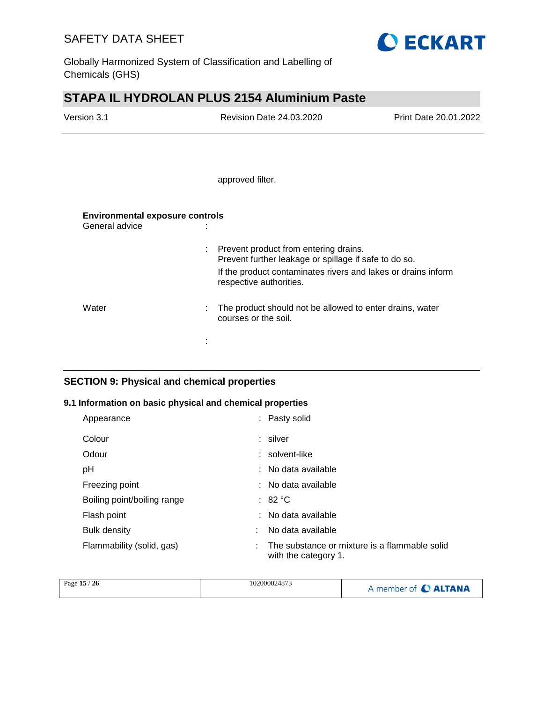

Globally Harmonized System of Classification and Labelling of Chemicals (GHS)

# **STAPA IL HYDROLAN PLUS 2154 Aluminium Paste**

| Version 3.1                                              | <b>Revision Date 24.03.2020</b>                                                                  | Print Date 20.01.2022 |
|----------------------------------------------------------|--------------------------------------------------------------------------------------------------|-----------------------|
|                                                          |                                                                                                  |                       |
|                                                          |                                                                                                  |                       |
|                                                          | approved filter.                                                                                 |                       |
| <b>Environmental exposure controls</b><br>General advice |                                                                                                  |                       |
|                                                          |                                                                                                  |                       |
|                                                          | : Prevent product from entering drains.<br>Prevent further leakage or spillage if safe to do so. |                       |
|                                                          | If the product contaminates rivers and lakes or drains inform                                    |                       |

| Water | : The product should not be allowed to enter drains, water<br>courses or the soil. |
|-------|------------------------------------------------------------------------------------|

respective authorities.

## **SECTION 9: Physical and chemical properties**

### **9.1 Information on basic physical and chemical properties**

:

| Appearance                  | : Pasty solid                                                         |
|-----------------------------|-----------------------------------------------------------------------|
| Colour                      | : silver                                                              |
| Odour                       | : solvent-like                                                        |
| рH                          | : No data available                                                   |
| Freezing point              | $:$ No data available                                                 |
| Boiling point/boiling range | : 82 °C                                                               |
| Flash point                 | : No data available                                                   |
| Bulk density                | No data available                                                     |
| Flammability (solid, gas)   | The substance or mixture is a flammable solid<br>with the category 1. |

| Page 15 / 26 | 102000024873 | A member of C ALTANA |
|--------------|--------------|----------------------|
|--------------|--------------|----------------------|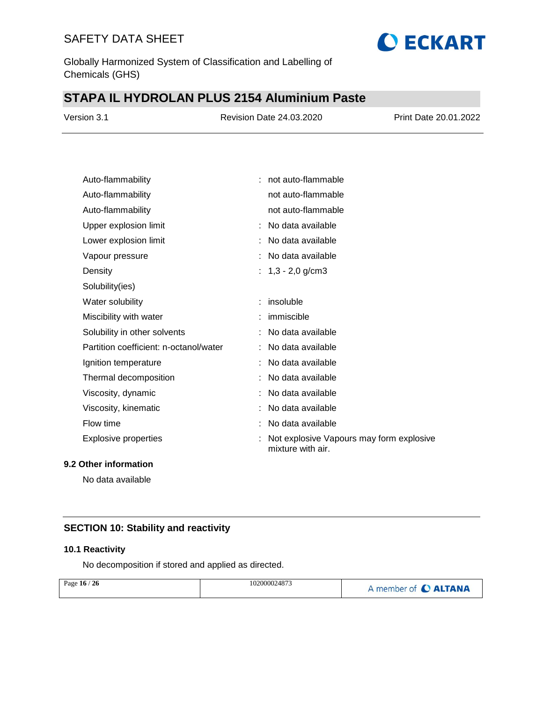

Globally Harmonized System of Classification and Labelling of Chemicals (GHS)

# **STAPA IL HYDROLAN PLUS 2154 Aluminium Paste**

| Version 3.1 | <b>Revision Date 24.03.2020</b> | Print Date 20.01.2022 |
|-------------|---------------------------------|-----------------------|
|             |                                 |                       |

| Auto-flammability                      | : not auto-flammable                                          |
|----------------------------------------|---------------------------------------------------------------|
| Auto-flammability                      | not auto-flammable                                            |
| Auto-flammability                      | not auto-flammable                                            |
| Upper explosion limit                  | : No data available                                           |
| Lower explosion limit                  | No data available                                             |
| Vapour pressure                        | No data available                                             |
| Density                                | : $1,3 - 2,0$ g/cm3                                           |
| Solubility(ies)                        |                                                               |
| Water solubility                       | $:$ insoluble                                                 |
| Miscibility with water                 | immiscible                                                    |
| Solubility in other solvents           | No data available                                             |
| Partition coefficient: n-octanol/water | No data available                                             |
| Ignition temperature                   | No data available                                             |
| Thermal decomposition                  | No data available                                             |
| Viscosity, dynamic                     | No data available                                             |
| Viscosity, kinematic                   | No data available                                             |
| Flow time                              | No data available                                             |
| <b>Explosive properties</b>            | Not explosive Vapours may form explosive<br>mixture with air. |

## **9.2 Other information**

No data available

## **SECTION 10: Stability and reactivity**

## **10.1 Reactivity**

No decomposition if stored and applied as directed.

| Page $16/26$ | 102000024873 | A member of C ALTANA |
|--------------|--------------|----------------------|
|              |              |                      |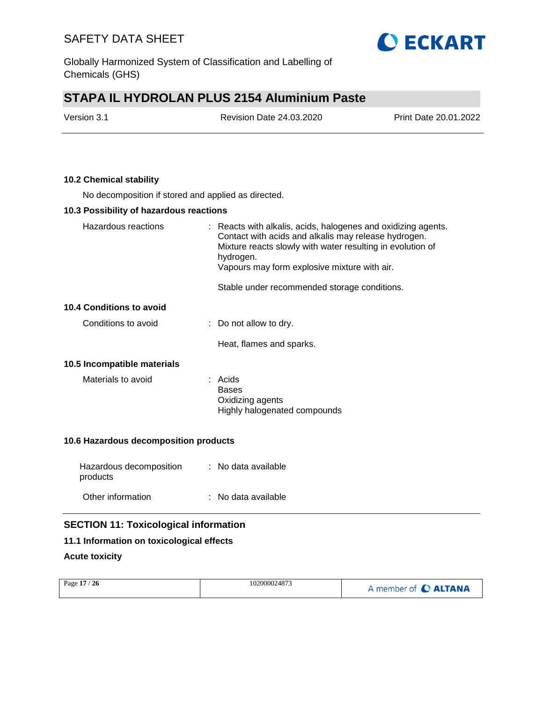**O ECKART** 

Globally Harmonized System of Classification and Labelling of Chemicals (GHS)

# **STAPA IL HYDROLAN PLUS 2154 Aluminium Paste**

| Version 3.1 | <b>Revision Date 24.03.2020</b> | <b>Print Date 20.01.2022</b> |
|-------------|---------------------------------|------------------------------|
|             |                                 |                              |

## **10.2 Chemical stability**

No decomposition if stored and applied as directed.

## **10.3 Possibility of hazardous reactions**

| Hazardous reactions             | : Reacts with alkalis, acids, halogenes and oxidizing agents.<br>Contact with acids and alkalis may release hydrogen.<br>Mixture reacts slowly with water resulting in evolution of<br>hydrogen.<br>Vapours may form explosive mixture with air.<br>Stable under recommended storage conditions. |
|---------------------------------|--------------------------------------------------------------------------------------------------------------------------------------------------------------------------------------------------------------------------------------------------------------------------------------------------|
| <b>10.4 Conditions to avoid</b> |                                                                                                                                                                                                                                                                                                  |
|                                 |                                                                                                                                                                                                                                                                                                  |
| Conditions to avoid             | $\therefore$ Do not allow to dry.                                                                                                                                                                                                                                                                |
|                                 | Heat, flames and sparks.                                                                                                                                                                                                                                                                         |
| 10.5 Incompatible materials     |                                                                                                                                                                                                                                                                                                  |
| Materials to avoid              | : Acids<br><b>Bases</b><br>Oxidizing agents<br>Highly halogenated compounds                                                                                                                                                                                                                      |

## **10.6 Hazardous decomposition products**

| Hazardous decomposition<br>products | : No data available |
|-------------------------------------|---------------------|
| Other information                   | : No data available |

## **SECTION 11: Toxicological information**

### **11.1 Information on toxicological effects**

## **Acute toxicity**

| Page 17 / 26<br>102000024873<br>A member of C ALTANA |  |  |  |
|------------------------------------------------------|--|--|--|
|------------------------------------------------------|--|--|--|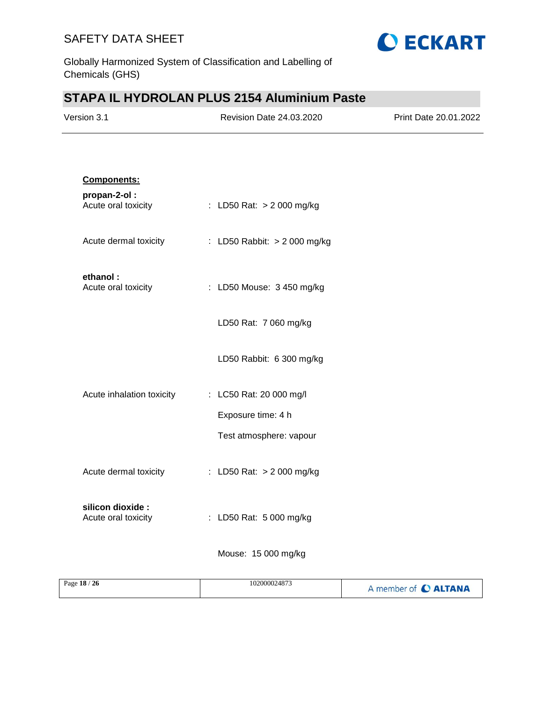

Globally Harmonized System of Classification and Labelling of Chemicals (GHS)

# **STAPA IL HYDROLAN PLUS 2154 Aluminium Paste**

| Version 3.1 | <b>Revision Date 24.03.2020</b> | Print Date 20.01.2022 |
|-------------|---------------------------------|-----------------------|
|             |                                 |                       |

| Components:                              |                              |
|------------------------------------------|------------------------------|
| propan-2-ol:<br>Acute oral toxicity      | : LD50 Rat: > 2 000 mg/kg    |
| Acute dermal toxicity                    | : LD50 Rabbit: > 2 000 mg/kg |
| ethanol:<br>Acute oral toxicity          | : LD50 Mouse: 3 450 mg/kg    |
|                                          | LD50 Rat: 7 060 mg/kg        |
|                                          | LD50 Rabbit: 6 300 mg/kg     |
| Acute inhalation toxicity                | : LC50 Rat: 20 000 mg/l      |
|                                          | Exposure time: 4 h           |
|                                          | Test atmosphere: vapour      |
| Acute dermal toxicity                    | : LD50 Rat: $> 2000$ mg/kg   |
| silicon dioxide :<br>Acute oral toxicity | : LD50 Rat: 5 000 mg/kg      |
|                                          | Mouse: 15 000 mg/kg          |

| Page 18 / 26 | 102000024873 | A member of C ALTANA |
|--------------|--------------|----------------------|
|              |              |                      |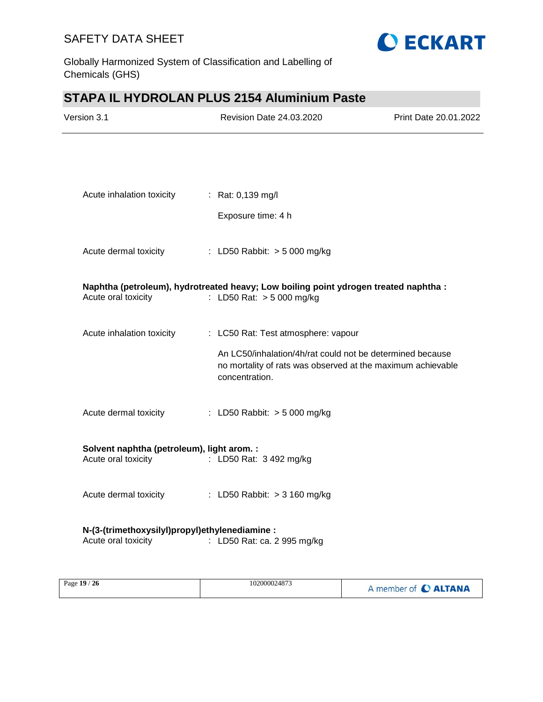

Globally Harmonized System of Classification and Labelling of Chemicals (GHS)

# **STAPA IL HYDROLAN PLUS 2154 Aluminium Paste**

| Version 3.1                                                                               | <b>Revision Date 24.03.2020</b>                                                                                                            | Print Date 20.01.2022 |
|-------------------------------------------------------------------------------------------|--------------------------------------------------------------------------------------------------------------------------------------------|-----------------------|
|                                                                                           |                                                                                                                                            |                       |
| Acute inhalation toxicity                                                                 | : Rat: 0,139 mg/l<br>Exposure time: 4 h                                                                                                    |                       |
|                                                                                           |                                                                                                                                            |                       |
|                                                                                           | Acute dermal toxicity : LD50 Rabbit: > 5 000 mg/kg                                                                                         |                       |
| Acute oral toxicity                                                                       | Naphtha (petroleum), hydrotreated heavy; Low boiling point ydrogen treated naphtha :<br>: LD50 Rat: $> 5000$ mg/kg                         |                       |
| Acute inhalation toxicity                                                                 | : LC50 Rat: Test atmosphere: vapour                                                                                                        |                       |
|                                                                                           | An LC50/inhalation/4h/rat could not be determined because<br>no mortality of rats was observed at the maximum achievable<br>concentration. |                       |
| Acute dermal toxicity                                                                     | : LD50 Rabbit: > 5 000 mg/kg                                                                                                               |                       |
| Solvent naphtha (petroleum), light arom. :<br>Acute oral toxicity : LD50 Rat: 3 492 mg/kg |                                                                                                                                            |                       |
|                                                                                           | Acute dermal toxicity : LD50 Rabbit: > 3 160 mg/kg                                                                                         |                       |
| N-(3-(trimethoxysilyl)propyl)ethylenediamine :<br>Acute oral toxicity                     | : LD50 Rat: ca. 2 995 mg/kg                                                                                                                |                       |

| Page 19 / 26 | 102000024873 | A member of C ALTANA |
|--------------|--------------|----------------------|
|--------------|--------------|----------------------|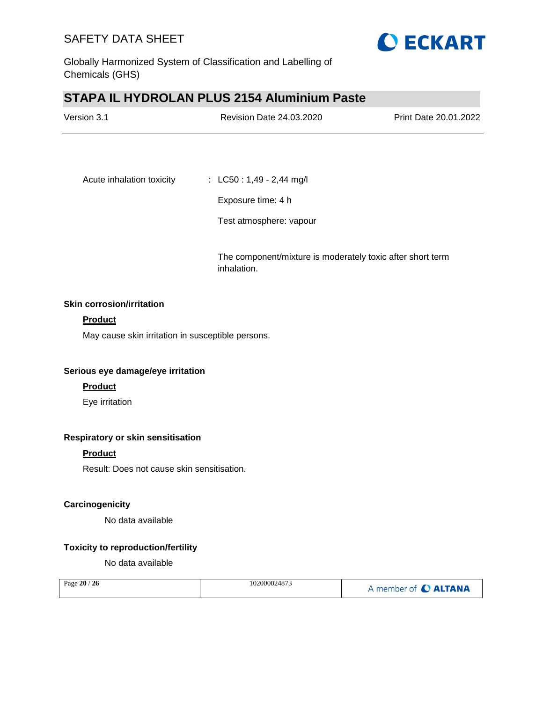

Globally Harmonized System of Classification and Labelling of Chemicals (GHS)

# **STAPA IL HYDROLAN PLUS 2154 Aluminium Paste**

| Version 3.1               | Revision Date 24.03.2020   | Print Date 20.01.2022 |
|---------------------------|----------------------------|-----------------------|
|                           |                            |                       |
| Acute inhalation toxicity | : $LC50: 1,49 - 2,44$ mg/l |                       |
|                           | Exposure time: 4 h         |                       |

Test atmosphere: vapour

The component/mixture is moderately toxic after short term inhalation.

## **Skin corrosion/irritation**

## **Product**

May cause skin irritation in susceptible persons.

### **Serious eye damage/eye irritation**

#### **Product**

Eye irritation

## **Respiratory or skin sensitisation**

## **Product**

Result: Does not cause skin sensitisation.

### **Carcinogenicity**

No data available

## **Toxicity to reproduction/fertility**

No data available

| Page 20 / 26 | 102000024873 | A member of C ALTANA |
|--------------|--------------|----------------------|
|--------------|--------------|----------------------|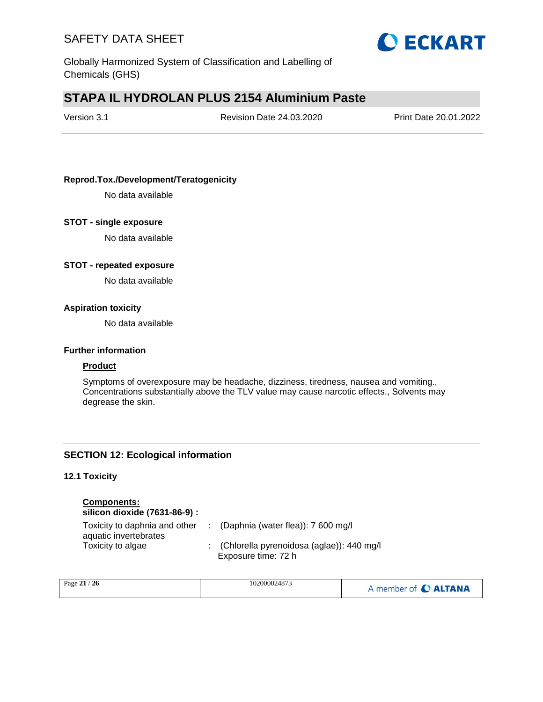

Globally Harmonized System of Classification and Labelling of Chemicals (GHS)

# **STAPA IL HYDROLAN PLUS 2154 Aluminium Paste**

| Version 3.1 |  |
|-------------|--|
|-------------|--|

Revision Date 24.03.2020 Print Date 20.01.2022

## **Reprod.Tox./Development/Teratogenicity**

No data available

### **STOT - single exposure**

No data available

### **STOT - repeated exposure**

No data available

#### **Aspiration toxicity**

No data available

#### **Further information**

### **Product**

Symptoms of overexposure may be headache, dizziness, tiredness, nausea and vomiting., Concentrations substantially above the TLV value may cause narcotic effects., Solvents may degrease the skin.

## **SECTION 12: Ecological information**

### **12.1 Toxicity**

## **Components:**

**silicon dioxide (7631-86-9) :**

| Toxicity to daphnia and other | : (Daphnia (water flea)): $7600 \text{ mg/l}$ |
|-------------------------------|-----------------------------------------------|
| aquatic invertebrates         |                                               |
| Toxicity to algae             | : (Chlorella pyrenoidosa (aglae)): 440 mg/l   |
|                               | Exposure time: 72 h                           |

| Page 21 / 26 | 102000024873 | A member of C ALTANA |
|--------------|--------------|----------------------|
|--------------|--------------|----------------------|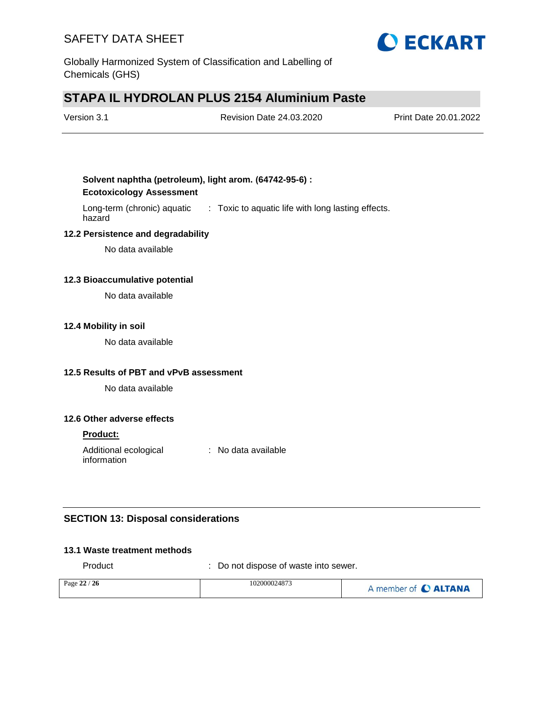

Globally Harmonized System of Classification and Labelling of Chemicals (GHS)

# **STAPA IL HYDROLAN PLUS 2154 Aluminium Paste**

| Version 3.1 | <b>Revision Date 24.03.2020</b> | Print Date 20.01.2022 |
|-------------|---------------------------------|-----------------------|
|             |                                 |                       |

## **Solvent naphtha (petroleum), light arom. (64742-95-6) : Ecotoxicology Assessment**

Long-term (chronic) aquatic : Toxic to aquatic life with long lasting effects. hazard

## **12.2 Persistence and degradability**

No data available

## **12.3 Bioaccumulative potential**

No data available

#### **12.4 Mobility in soil**

No data available

### **12.5 Results of PBT and vPvB assessment**

No data available

### **12.6 Other adverse effects**

### **Product:**

Additional ecological information : No data available

## **SECTION 13: Disposal considerations**

#### **13.1 Waste treatment methods**

Product : Do not dispose of waste into sewer.

| Page $22/26$ | 102000024873 | A member of C ALTANA |
|--------------|--------------|----------------------|
|              |              |                      |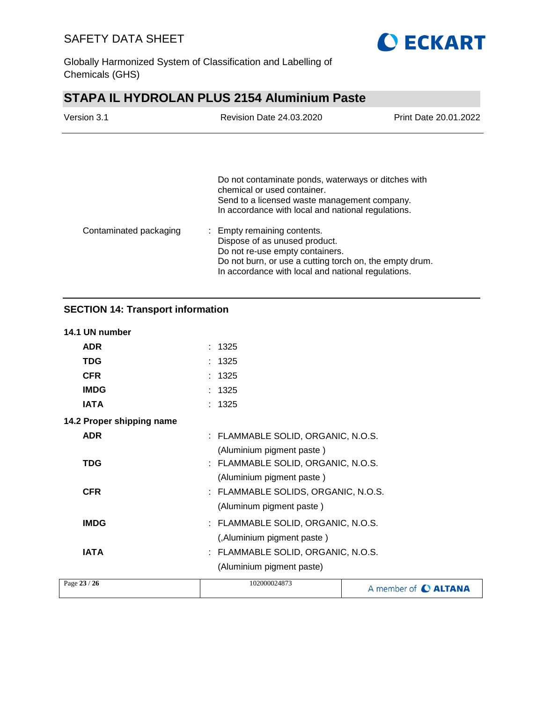

Globally Harmonized System of Classification and Labelling of Chemicals (GHS)

# **STAPA IL HYDROLAN PLUS 2154 Aluminium Paste**

| Version 3.1            | Revision Date 24.03.2020                                                                                                                                                                                         | Print Date 20.01.2022 |
|------------------------|------------------------------------------------------------------------------------------------------------------------------------------------------------------------------------------------------------------|-----------------------|
|                        |                                                                                                                                                                                                                  |                       |
|                        | Do not contaminate ponds, waterways or ditches with<br>chemical or used container.<br>Send to a licensed waste management company.<br>In accordance with local and national regulations.                         |                       |
| Contaminated packaging | : Empty remaining contents.<br>Dispose of as unused product.<br>Do not re-use empty containers.<br>Do not burn, or use a cutting torch on, the empty drum.<br>In accordance with local and national regulations. |                       |

## **SECTION 14: Transport information**

## **14.1 UN number**

| Page 23 / 26              | 102000024873                        | A member of C ALTANA |
|---------------------------|-------------------------------------|----------------------|
|                           | (Aluminium pigment paste)           |                      |
| <b>IATA</b>               | : FLAMMABLE SOLID, ORGANIC, N.O.S.  |                      |
|                           | (, Aluminium pigment paste)         |                      |
| <b>IMDG</b>               | : FLAMMABLE SOLID, ORGANIC, N.O.S.  |                      |
|                           | (Aluminum pigment paste)            |                      |
| <b>CFR</b>                | : FLAMMABLE SOLIDS, ORGANIC, N.O.S. |                      |
|                           | (Aluminium pigment paste)           |                      |
| <b>TDG</b>                | : FLAMMABLE SOLID, ORGANIC, N.O.S.  |                      |
|                           | (Aluminium pigment paste)           |                      |
| <b>ADR</b>                | : FLAMMABLE SOLID, ORGANIC, N.O.S.  |                      |
| 14.2 Proper shipping name |                                     |                      |
| <b>IATA</b>               | : 1325                              |                      |
| <b>IMDG</b>               | : 1325                              |                      |
| <b>CFR</b>                | : 1325                              |                      |
| <b>TDG</b>                | : 1325                              |                      |
| <b>ADR</b>                | 1325                                |                      |
|                           |                                     |                      |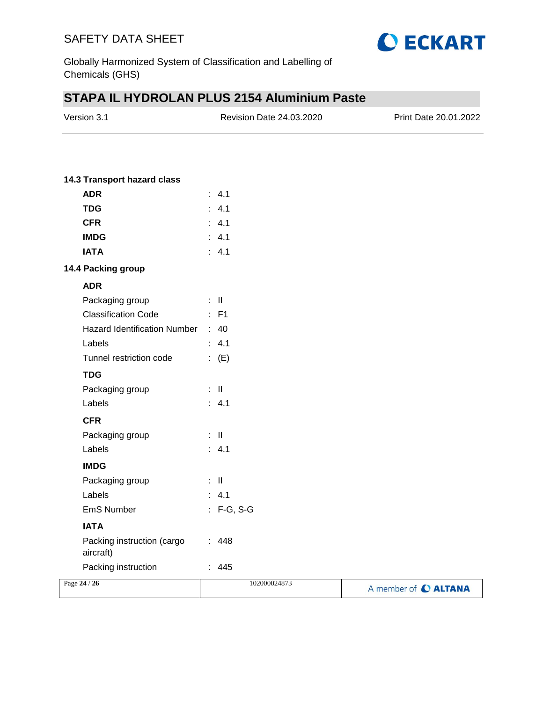

Globally Harmonized System of Classification and Labelling of Chemicals (GHS)

# **STAPA IL HYDROLAN PLUS 2154 Aluminium Paste**

| Version 3.1 | Revision Date 24.03.2020 | <b>Print Date 20.01.2022</b> |
|-------------|--------------------------|------------------------------|
|             |                          |                              |

## **14.3 Transport hazard class**

| ADR                          | $\cdot$ 41   |
|------------------------------|--------------|
| <b>TDG</b>                   | : 4.1        |
| <b>CFR</b>                   | : 4.1        |
| <b>IMDG</b>                  | : 4.1        |
| <b>IATA</b>                  | : 4.1        |
| 14.4 Packing group           |              |
| <b>ADR</b>                   |              |
| Packaging group              | : II         |
| <b>Classification Code</b>   | : F1         |
| Hazard Identification Number | : 40         |
| Labels                       | 4.1          |
| Tunnel restriction code      | $\colon$ (E) |
| <b>TDG</b>                   |              |
| Packaging group              | - 11<br>÷    |
| Labels                       | : 4.1        |
| <b>CFR</b>                   |              |
| Packaging group              | : II         |
| Labels                       | ۰<br>-4.1    |
| <b>IMDG</b>                  |              |
|                              |              |

| Labels                                  | $\therefore$ 4.1 |                      |
|-----------------------------------------|------------------|----------------------|
| <b>IMDG</b>                             |                  |                      |
| Packaging group                         | : II             |                      |
| Labels                                  | $\therefore$ 4.1 |                      |
| <b>EmS Number</b>                       | $: F-G, S-G$     |                      |
| <b>IATA</b>                             |                  |                      |
| Packing instruction (cargo<br>aircraft) | : 448            |                      |
| Packing instruction                     | : 445            |                      |
| Page 24 / 26                            | 102000024873     | A member of C ALTANA |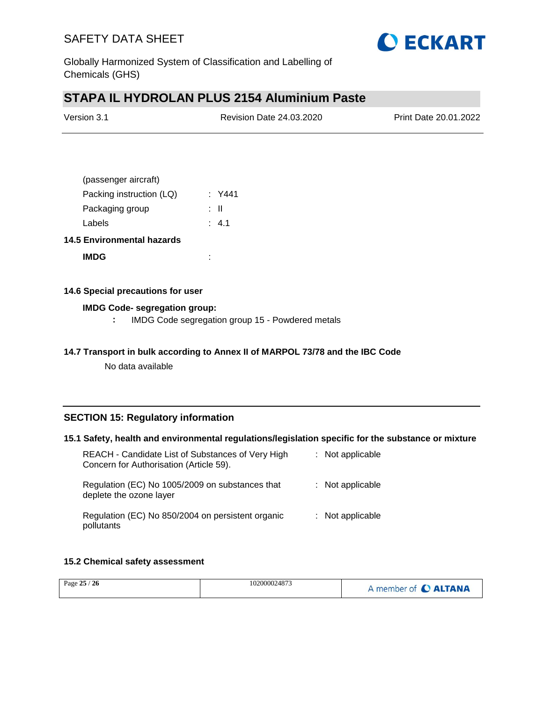

Globally Harmonized System of Classification and Labelling of Chemicals (GHS)

# **STAPA IL HYDROLAN PLUS 2154 Aluminium Paste**

| Version 3.1 | Revision Date 24.03.2020 | Print Date 20.01.2022 |
|-------------|--------------------------|-----------------------|
|             |                          |                       |

| (passenger aircraft)     |        |
|--------------------------|--------|
| Packing instruction (LQ) | : Y441 |
| Packaging group          | : II   |
| Labels                   | : 4.1  |
|                          |        |

## **14.5 Environmental hazards**

**IMDG** :

### **14.6 Special precautions for user**

## **IMDG Code- segregation group:**

**:** IMDG Code segregation group 15 - Powdered metals

#### **14.7 Transport in bulk according to Annex II of MARPOL 73/78 and the IBC Code**

No data available

## **SECTION 15: Regulatory information**

### **15.1 Safety, health and environmental regulations/legislation specific for the substance or mixture**

| REACH - Candidate List of Substances of Very High<br>Concern for Authorisation (Article 59). | : Not applicable   |
|----------------------------------------------------------------------------------------------|--------------------|
| Regulation (EC) No 1005/2009 on substances that<br>deplete the ozone layer                   | $:$ Not applicable |
| Regulation (EC) No 850/2004 on persistent organic<br>pollutants                              | $:$ Not applicable |

### **15.2 Chemical safety assessment**

| Page 25 / 26 | 102000024873 | A member of C ALTANA |
|--------------|--------------|----------------------|
|--------------|--------------|----------------------|